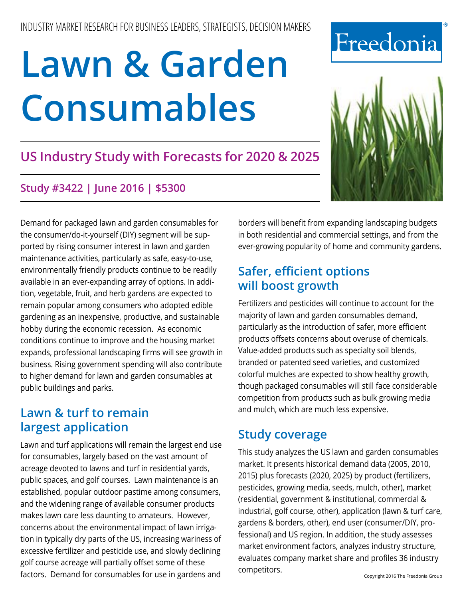# Lawn & Garden **Consumables**

# **US Industry Study with Forecasts for 2020 & 2025**

# **Study #3422 | June 2016 | \$5300**

Demand for packaged lawn and garden consumables for the consumer/do-it-yourself (DIY) segment will be supported by rising consumer interest in lawn and garden maintenance activities, particularly as safe, easy-to-use, environmentally friendly products continue to be readily available in an ever-expanding array of options. In addition, vegetable, fruit, and herb gardens are expected to remain popular among consumers who adopted edible gardening as an inexpensive, productive, and sustainable hobby during the economic recession. As economic conditions continue to improve and the housing market expands, professional landscaping firms will see growth in business. Rising government spending will also contribute to higher demand for lawn and garden consumables at public buildings and parks.

# **Lawn & turf to remain largest application**

Lawn and turf applications will remain the largest end use for consumables, largely based on the vast amount of acreage devoted to lawns and turf in residential yards, public spaces, and golf courses. Lawn maintenance is an established, popular outdoor pastime among consumers, and the widening range of available consumer products makes lawn care less daunting to amateurs. However, concerns about the environmental impact of lawn irrigation in typically dry parts of the US, increasing wariness of excessive fertilizer and pesticide use, and slowly declining golf course acreage will partially offset some of these factors. Demand for consumables for use in gardens and

borders will benefit from expanding landscaping budgets in both residential and commercial settings, and from the ever-growing popularity of home and community gardens.

# **Safer, efficient options will boost growth**

Fertilizers and pesticides will continue to account for the majority of lawn and garden consumables demand, particularly as the introduction of safer, more efficient products offsets concerns about overuse of chemicals. Value-added products such as specialty soil blends, branded or patented seed varieties, and customized colorful mulches are expected to show healthy growth, though packaged consumables will still face considerable competition from products such as bulk growing media and mulch, which are much less expensive.

# **Study coverage**

This study analyzes the US lawn and garden consumables market. It presents historical demand data (2005, 2010, 2015) plus forecasts (2020, 2025) by product (fertilizers, pesticides, growing media, seeds, mulch, other), market (residential, government & institutional, commercial & industrial, golf course, other), application (lawn & turf care, gardens & borders, other), end user (consumer/DIY, professional) and US region. In addition, the study assesses market environment factors, analyzes industry structure, evaluates company market share and profiles 36 industry competitors.



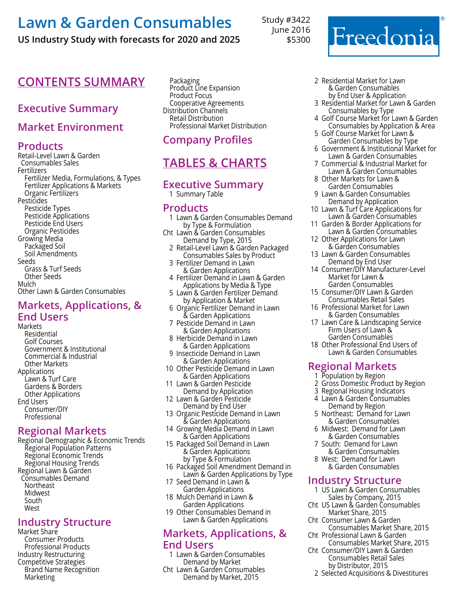# **[Lawn & Garden Consumables](http://www.freedoniagroup.com/DocumentDetails.aspx?ReferrerId=FM-Bro&studyid=3422)**

## **US Industry Study with forecasts for 2020 and 2025**

# **CONTENTS SUMMARY** Packaging

## **Executive Summary**

## **Market Environment**

## **Products**

Retail-Level Lawn & Garden Consumables Sales Fertilizers Fertilizer Media, Formulations, & Types Fertilizer Applications & Markets Organic Fertilizers Pesticides Pesticide Types Pesticide Applications Pesticide End Users Organic Pesticides Growing Media Packaged Soil Soil Amendments Seeds Grass & Turf Seeds Other Seeds Mulch Other Lawn & Garden Consumables

## **Markets, Applications, & End Users**

Markets Residential Golf Courses Government & Institutional Commercial & Industrial Other Markets Applications Lawn & Turf Care Gardens & Borders Other Applications End Users Consumer/DIY Professional

## **Regional Markets**

Regional Demographic & Economic Trends Regional Population Patterns Regional Economic Trends Regional Housing Trends Regional Lawn & Garden Consumables Demand Northeast Midwest South **West** 

## **Industry Structure**

Market Share Consumer Products Professional Products Industry Restructuring Competitive Strategies Brand Name Recognition Marketing

Product Line Expansion Product Focus Cooperative Agreements Distribution Channels Retail Distribution Professional Market Distribution

# **Company Profiles**

# **Tables & Charts**

## **Executive Summary**

1 Summary Table

## **Products**

- 1 Lawn & Garden Consumables Demand by Type & Formulation
- Cht Lawn & Garden Consumables Demand by Type, 2015
	- 2 Retail-Level Lawn & Garden Packaged Consumables Sales by Product
	- 3 Fertilizer Demand in Lawn & Garden Applications
	- 4 Fertilizer Demand in Lawn & Garden Applications by Media & Type
	- 5 Lawn & Garden Fertilizer Demand by Application & Market
	- 6 Organic Fertilizer Demand in Lawn & Garden Applications
	- 7 Pesticide Demand in Lawn & Garden Applications
	- 8 Herbicide Demand in Lawn & Garden Applications
	- 9 Insecticide Demand in Lawn & Garden Applications
- 10 Other Pesticide Demand in Lawn & Garden Applications
- 11 Lawn & Garden Pesticide Demand by Application
- 12 Lawn & Garden Pesticide Demand by End User
- 13 Organic Pesticide Demand in Lawn & Garden Applications
- 14 Growing Media Demand in Lawn & Garden Applications
- 15 Packaged Soil Demand in Lawn & Garden Applications by Type & Formulation
- 16 Packaged Soil Amendment Demand in Lawn & Garden Applications by Type
- 17 Seed Demand in Lawn & Garden Applications
- 18 Mulch Demand in Lawn & Garden Applications
- 19 Other Consumables Demand in Lawn & Garden Applications

## **Markets, Applications, & End Users**

1 Lawn & Garden Consumables Demand by Market Cht Lawn & Garden Consumables Demand by Market, 2015

2 Residential Market for Lawn & Garden Consumables by End User & Application

- 3 Residential Market for Lawn & Garden Consumables by Type
- 4 Golf Course Market for Lawn & Garden Consumables by Application & Area
- 5 Golf Course Market for Lawn & Garden Consumables by Type
- 6 Government & Institutional Market for Lawn & Garden Consumables
- 7 Commercial & Industrial Market for Lawn & Garden Consumables
- 8 Other Markets for Lawn & Garden Consumables
- 9 Lawn & Garden Consumables Demand by Application
- 10 Lawn & Turf Care Applications for Lawn & Garden Consumables
- 11 Garden & Border Applications for Lawn & Garden Consumables
- 12 Other Applications for Lawn & Garden Consumables
- 13 Lawn & Garden Consumables Demand by End User
- 14 Consumer/DIY Manufacturer-Level Market for Lawn & Garden Consumables
- 15 Consumer/DIY Lawn & Garden Consumables Retail Sales
- 16 Professional Market for Lawn & Garden Consumables
- 17 Lawn Care & Landscaping Service Firm Users of Lawn & Garden Consumables
- 18 Other Professional End Users of Lawn & Garden Consumables

## **Regional Markets**

- 1 Population by Region
- 2 Gross Domestic Product by Region
- 3 Regional Housing Indicators
- 4 Lawn & Garden Consumables Demand by Region
- 5 Northeast: Demand for Lawn & Garden Consumables
- 6 Midwest: Demand for Lawn & Garden Consumables
- 7 South: Demand for Lawn & Garden Consumables
- 8 West: Demand for Lawn & Garden Consumables

### **Industry Structure**

- 1 US Lawn & Garden Consumables Sales by Company, 2015
- Cht US Lawn & Garden Consumables Market Share, 2015
- Cht Consumer Lawn & Garden Consumables Market Share, 2015
- Cht Professional Lawn & Garden Consumables Market Share, 2015
- Cht Consumer/DIY Lawn & Garden Consumables Retail Sales by Distributor, 2015
	- 2 Selected Acquisitions & Divestitures

Study #3422 June 2016 \$5300

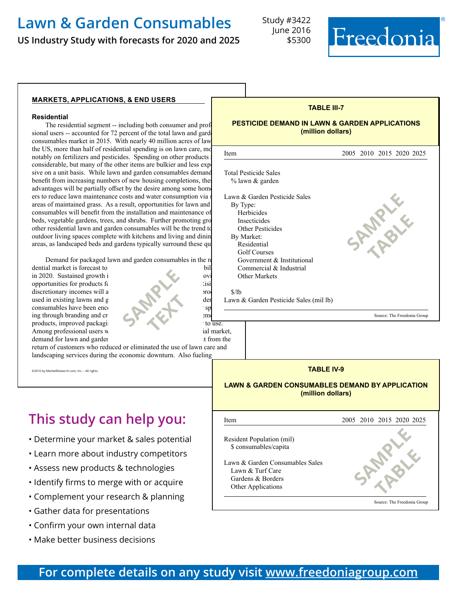# **[Lawn & Garden Consumables](http://www.freedoniagroup.com/DocumentDetails.aspx?ReferrerId=FM-Bro&studyid=3422)**

**US Industry Study with forecasts for 2020 and 2025**

Study #3422 June 2016 \$5300



#### **markets, applications, & end users**

#### **Residential**

The residential segment -- including both consumer and profe sional users -- accounted for 72 percent of the total lawn and gard consumables market in 2015. With nearly 40 million acres of law the US, more than half of residential spending is on lawn care, most notably on fertilizers and pesticides. Spending on other products considerable, but many of the other items are bulkier and less experient sive on a unit basis. While lawn and garden consumables demand benefit from increasing numbers of new housing completions, the advantages will be partially offset by the desire among some home ers to reduce lawn maintenance costs and water consumption via areas of maintained grass. As a result, opportunities for lawn and consumables will benefit from the installation and maintenance of beds, vegetable gardens, trees, and shrubs. Further promoting gro other residential lawn and garden consumables will be the trend to outdoor living spaces complete with kitchens and living and dining areas, as landscaped beds and gardens typically surround these qu

Demand for packaged lawn and garden consumables in the resisted

dential market is forecast to billion and perfect per annum to  $\mathbf{b}$  billion billion billion billion billion billion billion billion billion billion billion billion billion billion billion billion billion billion billio in 2020. Sustained growth i  $\sim$ opportunities for products for use in new lawns and gardens. discretionary incomes will a support growth in demand for products  $\mathbf{r}$  and  $\mathbf{r}$ used in existing lawns and  $g$  dens. Producers of lawn and gardens. Producers of lawn and gardens. Producers of lawn and gardens. The state of lawn and gardens. The state of lawn and gardens. The state of lawn and gardens consumables have been encouraging higher levels of consumables have been encouraging higher spending through branding and cross-merchandising between complementary complementary complementary complementary complementary complementary complementary complementary complementary complementary complementary complementary c products, improved packaging, and formulations to use. Among professional users who provide services to the residential market services to the residential market. demand for lawn and garder consumers is expected to be the from the to be neglected to be the to be neglected to be neglected to be neglected to be neglected to be neglected to be neglected to be neglected to be neglected



return of customers who reduced or eliminated the use of lawn care a landscaping services during the economic downturn. Also fueling

©2016 by MarketResearch.com, Inc. – All rights

# **This study can help you:**

- Determine your market & sales potential
- Learn more about industry competitors
- Assess new products & technologies
- Identify firms to merge with or acquire
- Complement your research & planning
- Gather data for presentations
- Confirm your own internal data
- Make better business decisions

| <b>TABLE III-7</b>                                                                                                                                                                                                                                                                                                                     |                             |
|----------------------------------------------------------------------------------------------------------------------------------------------------------------------------------------------------------------------------------------------------------------------------------------------------------------------------------------|-----------------------------|
| <b>PESTICIDE DEMAND IN LAWN &amp; GARDEN APPLICATIONS</b><br>(million dollars)                                                                                                                                                                                                                                                         |                             |
| Item                                                                                                                                                                                                                                                                                                                                   | 2005 2010 2015 2020 2025    |
| <b>Total Pesticide Sales</b><br>% lawn & garden<br>Lawn & Garden Pesticide Sales<br>By Type:<br>Herbicides<br><b>Insecticides</b><br>Other Pesticides<br>By Market:<br>Residential<br><b>Golf Courses</b><br>Government & Institutional<br>Commercial & Industrial<br>Other Markets<br>\$/lb<br>Lawn & Garden Pesticide Sales (mil lb) | <b>TRAIN</b>                |
|                                                                                                                                                                                                                                                                                                                                        | Source: The Freedonia Group |
| e.<br>ırket,<br>n the<br>and                                                                                                                                                                                                                                                                                                           |                             |



**For complete details on any study visit [www.freedoniagroup.com](http://www.freedoniagroup.com/)**